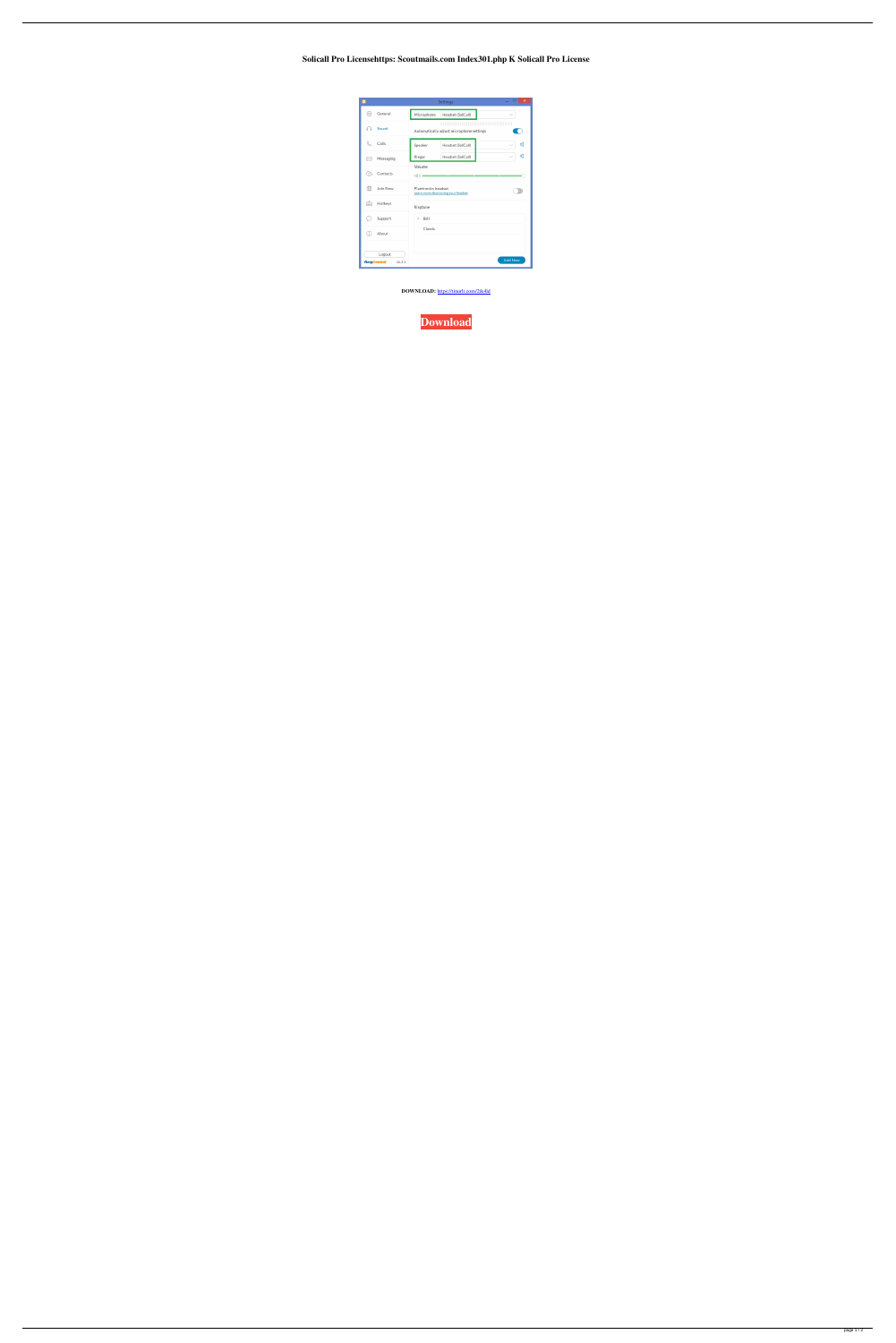Solicall Pro Licensehttps: Scoutmails.com Index301.php K Solicall Pro License

| $\bullet$                                | Settings                                                                                                                                                                                                                                                                              |                                     | $\mathsf{x}$<br>▭ |
|------------------------------------------|---------------------------------------------------------------------------------------------------------------------------------------------------------------------------------------------------------------------------------------------------------------------------------------|-------------------------------------|-------------------|
| €<br>General                             | Microphone                                                                                                                                                                                                                                                                            | Headset (SoliCall)                  |                   |
| Sound<br>$\Omega$                        | <u>The Charles Communication of the Charles Communication of the Charles Charles Charles Charles Charles Charles Charles Charles Charles Charles Charles Charles Charles Charles Charles Charles Charles Charles Charles Charles</u><br>Automatically adjust microphone settings<br>и |                                     |                   |
| Calls                                    | Speaker                                                                                                                                                                                                                                                                               | Headset (SoliCall)                  | ๔<br>$\checkmark$ |
| Messaging<br>⊠                           | Ringer                                                                                                                                                                                                                                                                                | Headset (SoliCall)                  | ๔<br>$\checkmark$ |
| Contacts<br>6                            | Volume<br>$\mathbb{I}(\cdot \cdot)$ =                                                                                                                                                                                                                                                 |                                     |                   |
| $\frac{80}{11}$<br>Join Now              | Plantronics headset                                                                                                                                                                                                                                                                   | Learn more about using your headset |                   |
| è<br>Hotkeys                             | Ringtone                                                                                                                                                                                                                                                                              |                                     |                   |
| Support                                  | Bell                                                                                                                                                                                                                                                                                  |                                     |                   |
| €<br>About                               | Classic                                                                                                                                                                                                                                                                               |                                     |                   |
| Logout<br><b>RingCentral</b> ®<br>10.2.1 |                                                                                                                                                                                                                                                                                       |                                     | <b>Add New</b>    |

DOWNLOAD: https://tinurli.com/2ik4ld